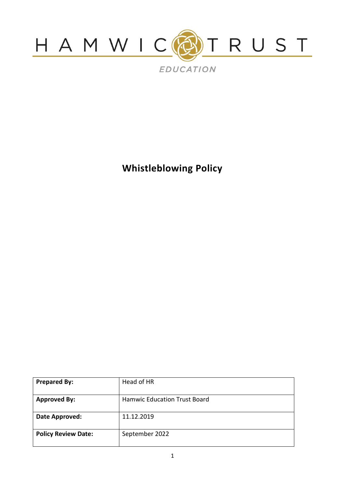

**Whistleblowing Policy**

| <b>Prepared By:</b>        | Head of HR                          |
|----------------------------|-------------------------------------|
| <b>Approved By:</b>        | <b>Hamwic Education Trust Board</b> |
| Date Approved:             | 11.12.2019                          |
| <b>Policy Review Date:</b> | September 2022                      |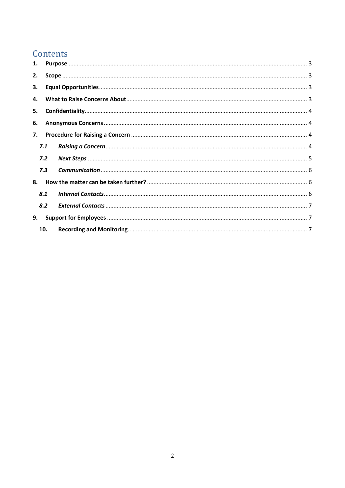# Contents

| 1. |     |  |  |  |  |  |
|----|-----|--|--|--|--|--|
| 2. |     |  |  |  |  |  |
| 3. |     |  |  |  |  |  |
| 4. |     |  |  |  |  |  |
| 5. |     |  |  |  |  |  |
| 6. |     |  |  |  |  |  |
| 7. |     |  |  |  |  |  |
|    | 7.1 |  |  |  |  |  |
|    | 7.2 |  |  |  |  |  |
|    | 7.3 |  |  |  |  |  |
| 8. |     |  |  |  |  |  |
|    | 8.1 |  |  |  |  |  |
|    | 8.2 |  |  |  |  |  |
| 9. |     |  |  |  |  |  |
|    | 10. |  |  |  |  |  |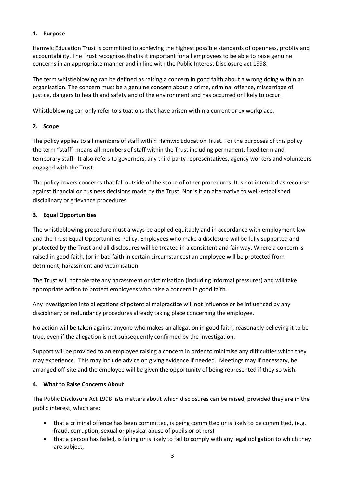### <span id="page-2-0"></span>**1. Purpose**

Hamwic Education Trust is committed to achieving the highest possible standards of openness, probity and accountability. The Trust recognises that is it important for all employees to be able to raise genuine concerns in an appropriate manner and in line with the Public Interest Disclosure act 1998.

The term whistleblowing can be defined as raising a concern in good faith about a wrong doing within an organisation. The concern must be a genuine concern about a crime, criminal offence, miscarriage of justice, dangers to health and safety and of the environment and has occurred or likely to occur.

Whistleblowing can only refer to situations that have arisen within a current or ex workplace.

## <span id="page-2-1"></span>**2. Scope**

The policy applies to all members of staff within Hamwic Education Trust. For the purposes of this policy the term "staff" means all members of staff within the Trust including permanent, fixed term and temporary staff. It also refers to governors, any third party representatives, agency workers and volunteers engaged with the Trust.

The policy covers concerns that fall outside of the scope of other procedures. It is not intended as recourse against financial or business decisions made by the Trust. Nor is it an alternative to well-established disciplinary or grievance procedures.

### <span id="page-2-2"></span>**3. Equal Opportunities**

The whistleblowing procedure must always be applied equitably and in accordance with employment law and the Trust Equal Opportunities Policy. Employees who make a disclosure will be fully supported and protected by the Trust and all disclosures will be treated in a consistent and fair way. Where a concern is raised in good faith, (or in bad faith in certain circumstances) an employee will be protected from detriment, harassment and victimisation.

The Trust will not tolerate any harassment or victimisation (including informal pressures) and will take appropriate action to protect employees who raise a concern in good faith.

Any investigation into allegations of potential malpractice will not influence or be influenced by any disciplinary or redundancy procedures already taking place concerning the employee.

No action will be taken against anyone who makes an allegation in good faith, reasonably believing it to be true, even if the allegation is not subsequently confirmed by the investigation.

Support will be provided to an employee raising a concern in order to minimise any difficulties which they may experience. This may include advice on giving evidence if needed. Meetings may if necessary, be arranged off-site and the employee will be given the opportunity of being represented if they so wish.

### <span id="page-2-3"></span>**4. What to Raise Concerns About**

The Public Disclosure Act 1998 lists matters about which disclosures can be raised, provided they are in the public interest, which are:

- that a criminal offence has been committed, is being committed or is likely to be committed, (e.g. fraud, corruption, sexual or physical abuse of pupils or others)
- that a person has failed, is failing or is likely to fail to comply with any legal obligation to which they are subject,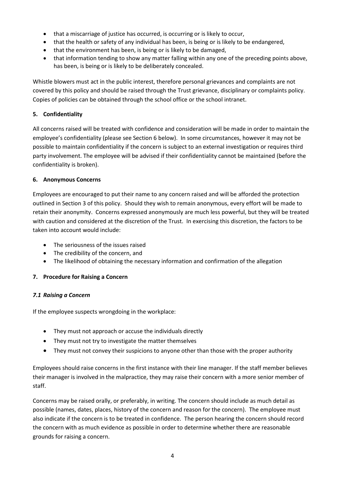- that a miscarriage of justice has occurred, is occurring or is likely to occur,
- that the health or safety of any individual has been, is being or is likely to be endangered,
- that the environment has been, is being or is likely to be damaged,
- that information tending to show any matter falling within any one of the preceding points above, has been, is being or is likely to be deliberately concealed.

Whistle blowers must act in the public interest, therefore personal grievances and complaints are not covered by this policy and should be raised through the Trust grievance, disciplinary or complaints policy. Copies of policies can be obtained through the school office or the school intranet.

### <span id="page-3-0"></span>**5. Confidentiality**

All concerns raised will be treated with confidence and consideration will be made in order to maintain the employee's confidentiality (please see Section 6 below). In some circumstances, however it may not be possible to maintain confidentiality if the concern is subject to an external investigation or requires third party involvement. The employee will be advised if their confidentiality cannot be maintained (before the confidentiality is broken).

### <span id="page-3-1"></span>**6. Anonymous Concerns**

Employees are encouraged to put their name to any concern raised and will be afforded the protection outlined in Section 3 of this policy. Should they wish to remain anonymous, every effort will be made to retain their anonymity. Concerns expressed anonymously are much less powerful, but they will be treated with caution and considered at the discretion of the Trust. In exercising this discretion, the factors to be taken into account would include:

- The seriousness of the issues raised
- The credibility of the concern, and
- The likelihood of obtaining the necessary information and confirmation of the allegation

### <span id="page-3-2"></span>**7. Procedure for Raising a Concern**

### <span id="page-3-3"></span>*7.1 Raising a Concern*

If the employee suspects wrongdoing in the workplace:

- They must not approach or accuse the individuals directly
- They must not try to investigate the matter themselves
- They must not convey their suspicions to anyone other than those with the proper authority

Employees should raise concerns in the first instance with their line manager. If the staff member believes their manager is involved in the malpractice, they may raise their concern with a more senior member of staff.

Concerns may be raised orally, or preferably, in writing. The concern should include as much detail as possible (names, dates, places, history of the concern and reason for the concern). The employee must also indicate if the concern is to be treated in confidence. The person hearing the concern should record the concern with as much evidence as possible in order to determine whether there are reasonable grounds for raising a concern.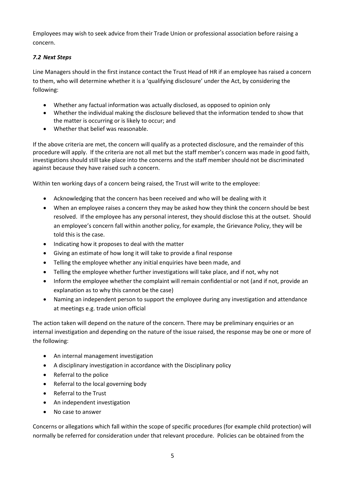Employees may wish to seek advice from their Trade Union or professional association before raising a concern.

# <span id="page-4-0"></span>*7.2 Next Steps*

Line Managers should in the first instance contact the Trust Head of HR if an employee has raised a concern to them, who will determine whether it is a 'qualifying disclosure' under the Act, by considering the following:

- Whether any factual information was actually disclosed, as opposed to opinion only
- Whether the individual making the disclosure believed that the information tended to show that the matter is occurring or is likely to occur; and
- Whether that belief was reasonable.

If the above criteria are met, the concern will qualify as a protected disclosure, and the remainder of this procedure will apply. If the criteria are not all met but the staff member's concern was made in good faith, investigations should still take place into the concerns and the staff member should not be discriminated against because they have raised such a concern.

Within ten working days of a concern being raised, the Trust will write to the employee:

- Acknowledging that the concern has been received and who will be dealing with it
- When an employee raises a concern they may be asked how they think the concern should be best resolved. If the employee has any personal interest, they should disclose this at the outset. Should an employee's concern fall within another policy, for example, the Grievance Policy, they will be told this is the case.
- Indicating how it proposes to deal with the matter
- Giving an estimate of how long it will take to provide a final response
- Telling the employee whether any initial enquiries have been made, and
- Telling the employee whether further investigations will take place, and if not, why not
- Inform the employee whether the complaint will remain confidential or not (and if not, provide an explanation as to why this cannot be the case)
- Naming an independent person to support the employee during any investigation and attendance at meetings e.g. trade union official

The action taken will depend on the nature of the concern. There may be preliminary enquiries or an internal investigation and depending on the nature of the issue raised, the response may be one or more of the following:

- An internal management investigation
- A disciplinary investigation in accordance with the Disciplinary policy
- Referral to the police
- Referral to the local governing body
- Referral to the Trust
- An independent investigation
- No case to answer

Concerns or allegations which fall within the scope of specific procedures (for example child protection) will normally be referred for consideration under that relevant procedure. Policies can be obtained from the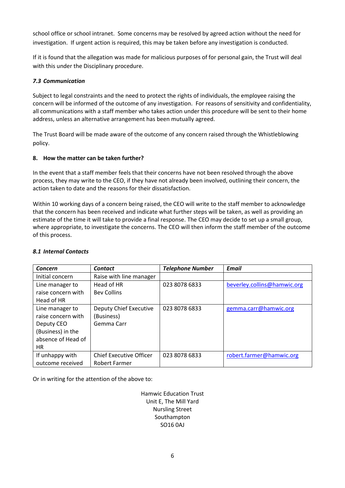school office or school intranet. Some concerns may be resolved by agreed action without the need for investigation. If urgent action is required, this may be taken before any investigation is conducted.

If it is found that the allegation was made for malicious purposes of for personal gain, the Trust will deal with this under the Disciplinary procedure.

### <span id="page-5-0"></span>*7.3 Communication*

Subject to legal constraints and the need to protect the rights of individuals, the employee raising the concern will be informed of the outcome of any investigation. For reasons of sensitivity and confidentiality, all communications with a staff member who takes action under this procedure will be sent to their home address, unless an alternative arrangement has been mutually agreed.

The Trust Board will be made aware of the outcome of any concern raised through the Whistleblowing policy.

### <span id="page-5-1"></span>**8. How the matter can be taken further?**

In the event that a staff member feels that their concerns have not been resolved through the above process, they may write to the CEO, if they have not already been involved, outlining their concern, the action taken to date and the reasons for their dissatisfaction.

Within 10 working days of a concern being raised, the CEO will write to the staff member to acknowledge that the concern has been received and indicate what further steps will be taken, as well as providing an estimate of the time it will take to provide a final response. The CEO may decide to set up a small group, where appropriate, to investigate the concerns. The CEO will then inform the staff member of the outcome of this process.

| Concern            | <b>Contact</b>                 | <b>Telephone Number</b> | <b>Email</b>                |
|--------------------|--------------------------------|-------------------------|-----------------------------|
| Initial concern    | Raise with line manager        |                         |                             |
| Line manager to    | Head of HR                     | 023 8078 6833           | beverley.collins@hamwic.org |
| raise concern with | <b>Bev Collins</b>             |                         |                             |
| Head of HR         |                                |                         |                             |
| Line manager to    | Deputy Chief Executive         | 023 8078 6833           | gemma.carr@hamwic.org       |
| raise concern with | (Business)                     |                         |                             |
| Deputy CEO         | Gemma Carr                     |                         |                             |
| (Business) in the  |                                |                         |                             |
| absence of Head of |                                |                         |                             |
| HR.                |                                |                         |                             |
| If unhappy with    | <b>Chief Executive Officer</b> | 023 8078 6833           | robert.farmer@hamwic.org    |
| outcome received   | Robert Farmer                  |                         |                             |

### <span id="page-5-2"></span>*8.1 Internal Contacts*

Or in writing for the attention of the above to:

Hamwic Education Trust Unit E, The Mill Yard Nursling Street Southampton SO16 0AJ